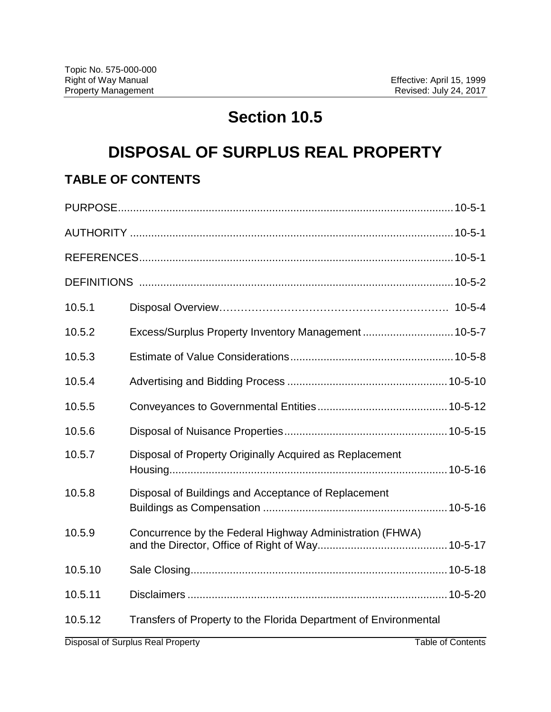# **Section 10.5**

## **DISPOSAL OF SURPLUS REAL PROPERTY**

## **TABLE OF CONTENTS**

| 10.5.1  |                                                                  |
|---------|------------------------------------------------------------------|
| 10.5.2  | Excess/Surplus Property Inventory Management  10-5-7             |
| 10.5.3  |                                                                  |
| 10.5.4  |                                                                  |
| 10.5.5  |                                                                  |
| 10.5.6  |                                                                  |
| 10.5.7  | Disposal of Property Originally Acquired as Replacement          |
| 10.5.8  | Disposal of Buildings and Acceptance of Replacement              |
| 10.5.9  | Concurrence by the Federal Highway Administration (FHWA)         |
| 10.5.10 |                                                                  |
| 10.5.11 |                                                                  |
| 10.5.12 | Transfers of Property to the Florida Department of Environmental |
|         |                                                                  |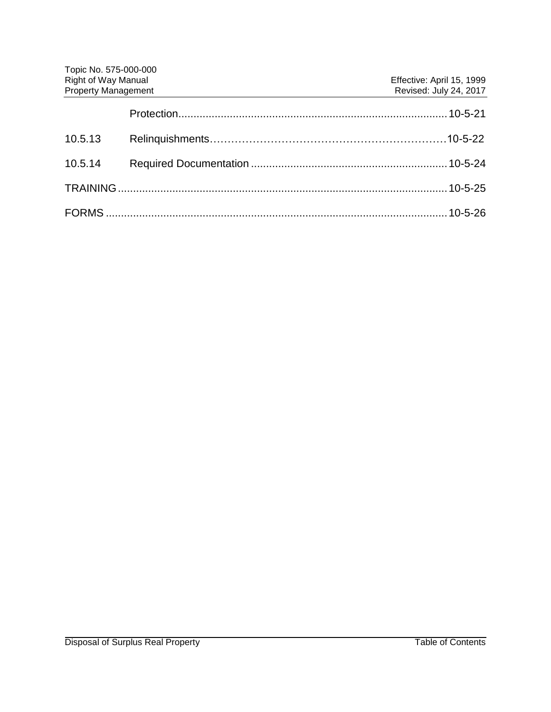| Topic No. 575-000-000      |                           |
|----------------------------|---------------------------|
| <b>Right of Way Manual</b> | Effective: April 15, 1999 |
| <b>Property Management</b> | Revised: July 24, 2017    |
|                            |                           |
| 10.5.13                    |                           |
| 10.5.14                    |                           |
|                            |                           |
|                            |                           |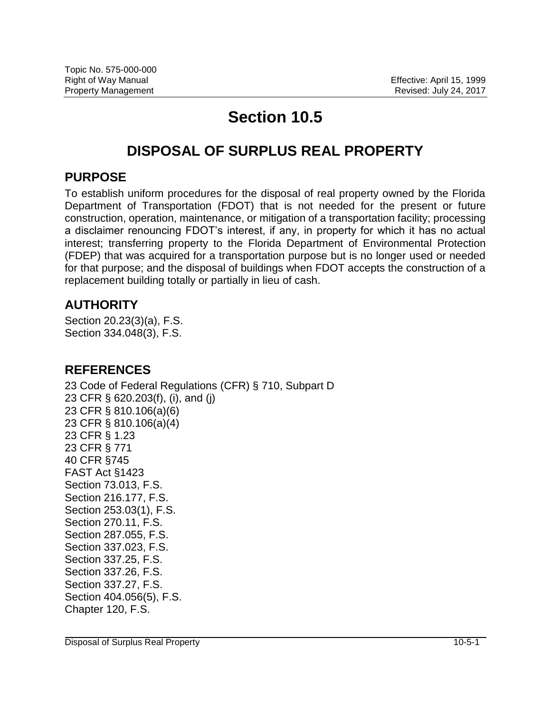## **Section 10.5**

## **DISPOSAL OF SURPLUS REAL PROPERTY**

#### **PURPOSE**

To establish uniform procedures for the disposal of real property owned by the Florida Department of Transportation (FDOT) that is not needed for the present or future construction, operation, maintenance, or mitigation of a transportation facility; processing a disclaimer renouncing FDOT's interest, if any, in property for which it has no actual interest; transferring property to the Florida Department of Environmental Protection (FDEP) that was acquired for a transportation purpose but is no longer used or needed for that purpose; and the disposal of buildings when FDOT accepts the construction of a replacement building totally or partially in lieu of cash.

## **AUTHORITY**

Section 20.23(3)(a), F.S. Section 334.048(3), F.S.

#### **REFERENCES**

23 Code of Federal Regulations (CFR) § 710, Subpart D 23 CFR § 620.203(f), (i), and (j) 23 CFR § 810.106(a)(6) 23 CFR § 810.106(a)(4) 23 CFR § 1.23 23 CFR § 771 40 CFR §745 FAST Act §1423 Section 73.013, F.S. Section 216.177, F.S. Section 253.03(1), F.S. Section 270.11, F.S. Section 287.055, F.S. Section 337.023, F.S. Section 337.25, F.S. Section 337.26, F.S. Section 337.27, F.S. Section 404.056(5), F.S. Chapter 120, F.S.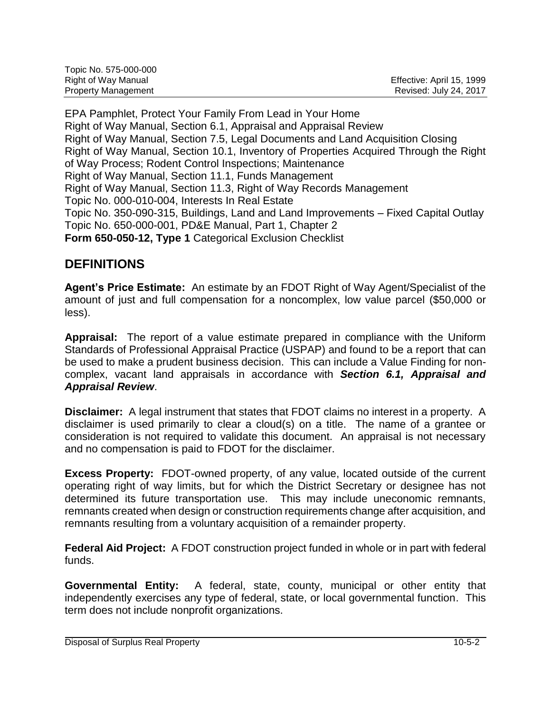| Topic No. 575-000-000      |                           |
|----------------------------|---------------------------|
| Right of Way Manual        | Effective: April 15, 1999 |
| <b>Property Management</b> | Revised: July 24, 2017    |

EPA Pamphlet, Protect Your Family From Lead in Your Home Right of Way Manual, Section 6.1, Appraisal and Appraisal Review Right of Way Manual, Section 7.5, Legal Documents and Land Acquisition Closing Right of Way Manual, Section 10.1, Inventory of Properties Acquired Through the Right of Way Process; Rodent Control Inspections; Maintenance Right of Way Manual, Section 11.1, Funds Management Right of Way Manual, Section 11.3, Right of Way Records Management Topic No. 000-010-004, Interests In Real Estate Topic No. 350-090-315, Buildings, Land and Land Improvements – Fixed Capital Outlay Topic No. 650-000-001, PD&E Manual, Part 1, Chapter 2 **Form 650-050-12, Type 1** Categorical Exclusion Checklist

## **DEFINITIONS**

**Agent's Price Estimate:** An estimate by an FDOT Right of Way Agent/Specialist of the amount of just and full compensation for a noncomplex, low value parcel (\$50,000 or less).

**Appraisal:** The report of a value estimate prepared in compliance with the Uniform Standards of Professional Appraisal Practice (USPAP) and found to be a report that can be used to make a prudent business decision. This can include a Value Finding for noncomplex, vacant land appraisals in accordance with *Section 6.1, Appraisal and Appraisal Review*.

**Disclaimer:** A legal instrument that states that FDOT claims no interest in a property. A disclaimer is used primarily to clear a cloud(s) on a title. The name of a grantee or consideration is not required to validate this document. An appraisal is not necessary and no compensation is paid to FDOT for the disclaimer.

**Excess Property:** FDOT-owned property, of any value, located outside of the current operating right of way limits, but for which the District Secretary or designee has not determined its future transportation use. This may include uneconomic remnants, remnants created when design or construction requirements change after acquisition, and remnants resulting from a voluntary acquisition of a remainder property.

**Federal Aid Project:** A FDOT construction project funded in whole or in part with federal funds.

**Governmental Entity:** A federal, state, county, municipal or other entity that independently exercises any type of federal, state, or local governmental function. This term does not include nonprofit organizations.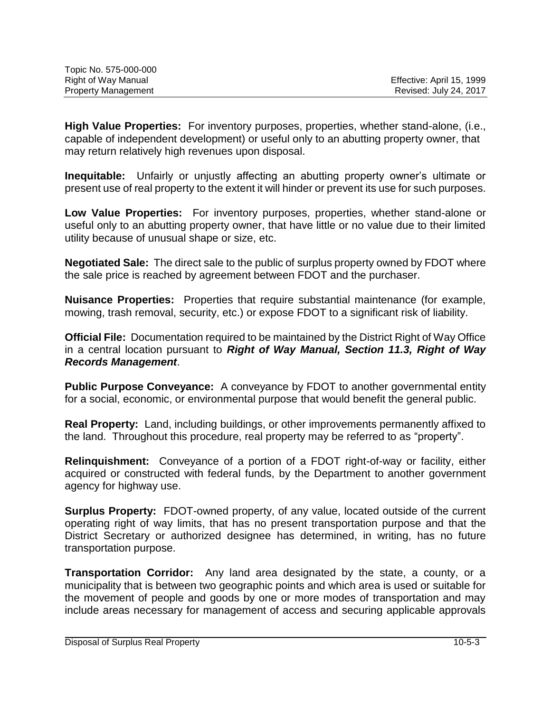| Topic No. 575-000-000      |                           |
|----------------------------|---------------------------|
| Right of Way Manual        | Effective: April 15, 1999 |
| <b>Property Management</b> | Revised: July 24, 2017    |

**High Value Properties:** For inventory purposes, properties, whether stand-alone, (i.e., capable of independent development) or useful only to an abutting property owner, that may return relatively high revenues upon disposal.

**Inequitable:** Unfairly or unjustly affecting an abutting property owner's ultimate or present use of real property to the extent it will hinder or prevent its use for such purposes.

**Low Value Properties:** For inventory purposes, properties, whether stand-alone or useful only to an abutting property owner, that have little or no value due to their limited utility because of unusual shape or size, etc.

**Negotiated Sale:** The direct sale to the public of surplus property owned by FDOT where the sale price is reached by agreement between FDOT and the purchaser.

**Nuisance Properties:** Properties that require substantial maintenance (for example, mowing, trash removal, security, etc.) or expose FDOT to a significant risk of liability.

**Official File:** Documentation required to be maintained by the District Right of Way Office in a central location pursuant to *Right of Way Manual, Section 11.3, Right of Way Records Management*.

**Public Purpose Conveyance:** A conveyance by FDOT to another governmental entity for a social, economic, or environmental purpose that would benefit the general public.

**Real Property:** Land, including buildings, or other improvements permanently affixed to the land. Throughout this procedure, real property may be referred to as "property".

**Relinquishment:** Conveyance of a portion of a FDOT right-of-way or facility, either acquired or constructed with federal funds, by the Department to another government agency for highway use.

**Surplus Property:** FDOT-owned property, of any value, located outside of the current operating right of way limits, that has no present transportation purpose and that the District Secretary or authorized designee has determined, in writing, has no future transportation purpose.

**Transportation Corridor:** Any land area designated by the state, a county, or a municipality that is between two geographic points and which area is used or suitable for the movement of people and goods by one or more modes of transportation and may include areas necessary for management of access and securing applicable approvals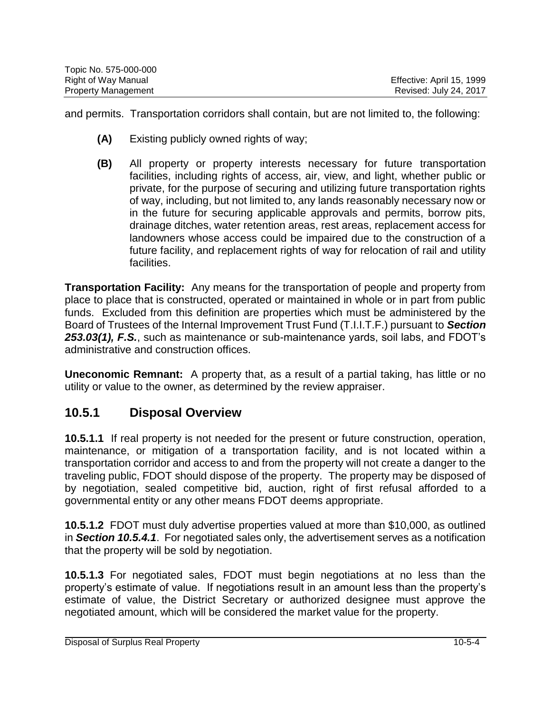| Topic No. 575-000-000      |                           |
|----------------------------|---------------------------|
| Right of Way Manual        | Effective: April 15, 1999 |
| <b>Property Management</b> | Revised: July 24, 2017    |

and permits. Transportation corridors shall contain, but are not limited to, the following:

- **(A)** Existing publicly owned rights of way;
- **(B)** All property or property interests necessary for future transportation facilities, including rights of access, air, view, and light, whether public or private, for the purpose of securing and utilizing future transportation rights of way, including, but not limited to, any lands reasonably necessary now or in the future for securing applicable approvals and permits, borrow pits, drainage ditches, water retention areas, rest areas, replacement access for landowners whose access could be impaired due to the construction of a future facility, and replacement rights of way for relocation of rail and utility facilities.

**Transportation Facility:** Any means for the transportation of people and property from place to place that is constructed, operated or maintained in whole or in part from public funds. Excluded from this definition are properties which must be administered by the Board of Trustees of the Internal Improvement Trust Fund (T.I.I.T.F.) pursuant to *Section 253.03(1), F.S.*, such as maintenance or sub-maintenance yards, soil labs, and FDOT's administrative and construction offices.

**Uneconomic Remnant:** A property that, as a result of a partial taking, has little or no utility or value to the owner, as determined by the review appraiser.

#### **10.5.1 Disposal Overview**

**10.5.1.1** If real property is not needed for the present or future construction, operation, maintenance, or mitigation of a transportation facility, and is not located within a transportation corridor and access to and from the property will not create a danger to the traveling public, FDOT should dispose of the property. The property may be disposed of by negotiation, sealed competitive bid, auction, right of first refusal afforded to a governmental entity or any other means FDOT deems appropriate.

**10.5.1.2** FDOT must duly advertise properties valued at more than \$10,000, as outlined in *Section 10.5.4.1*. For negotiated sales only, the advertisement serves as a notification that the property will be sold by negotiation.

**10.5.1.3** For negotiated sales, FDOT must begin negotiations at no less than the property's estimate of value. If negotiations result in an amount less than the property's estimate of value, the District Secretary or authorized designee must approve the negotiated amount, which will be considered the market value for the property.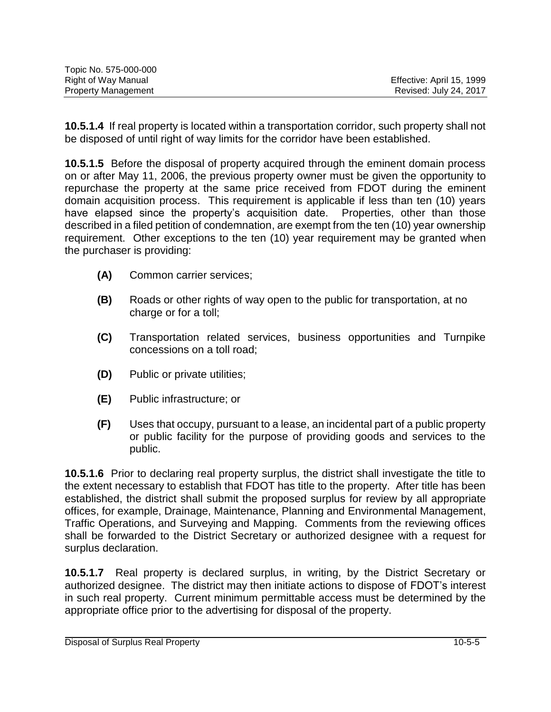| Topic No. 575-000-000      |                           |
|----------------------------|---------------------------|
| Right of Way Manual        | Effective: April 15, 1999 |
| <b>Property Management</b> | Revised: July 24, 2017    |

**10.5.1.4** If real property is located within a transportation corridor, such property shall not be disposed of until right of way limits for the corridor have been established.

**10.5.1.5** Before the disposal of property acquired through the eminent domain process on or after May 11, 2006, the previous property owner must be given the opportunity to repurchase the property at the same price received from FDOT during the eminent domain acquisition process. This requirement is applicable if less than ten (10) years have elapsed since the property's acquisition date. Properties, other than those described in a filed petition of condemnation, are exempt from the ten (10) year ownership requirement. Other exceptions to the ten (10) year requirement may be granted when the purchaser is providing:

- **(A)** Common carrier services;
- **(B)** Roads or other rights of way open to the public for transportation, at no charge or for a toll;
- **(C)** Transportation related services, business opportunities and Turnpike concessions on a toll road;
- **(D)** Public or private utilities;
- **(E)** Public infrastructure; or
- **(F)** Uses that occupy, pursuant to a lease, an incidental part of a public property or public facility for the purpose of providing goods and services to the public.

**10.5.1.6** Prior to declaring real property surplus, the district shall investigate the title to the extent necessary to establish that FDOT has title to the property. After title has been established, the district shall submit the proposed surplus for review by all appropriate offices, for example, Drainage, Maintenance, Planning and Environmental Management, Traffic Operations, and Surveying and Mapping. Comments from the reviewing offices shall be forwarded to the District Secretary or authorized designee with a request for surplus declaration.

**10.5.1.7** Real property is declared surplus, in writing, by the District Secretary or authorized designee. The district may then initiate actions to dispose of FDOT's interest in such real property. Current minimum permittable access must be determined by the appropriate office prior to the advertising for disposal of the property.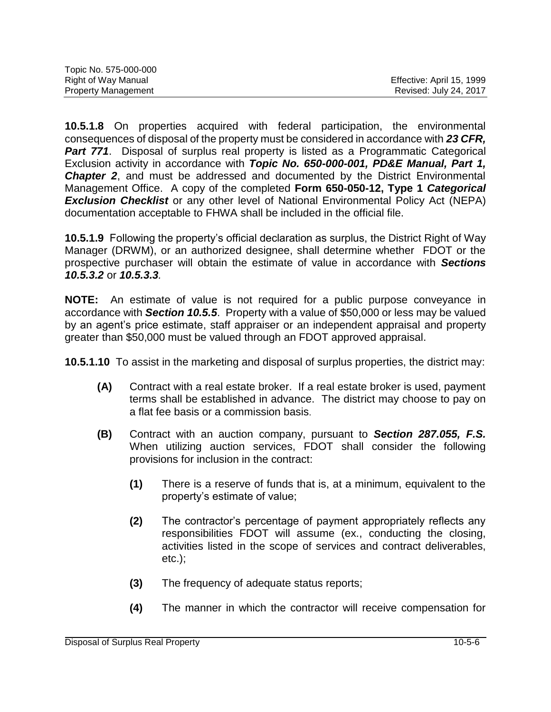| Topic No. 575-000-000      |                           |
|----------------------------|---------------------------|
| Right of Way Manual        | Effective: April 15, 1999 |
| <b>Property Management</b> | Revised: July 24, 2017    |

**10.5.1.8** On properties acquired with federal participation, the environmental consequences of disposal of the property must be considered in accordance with *23 CFR,* **Part 771.** Disposal of surplus real property is listed as a Programmatic Categorical Exclusion activity in accordance with *Topic No. 650-000-001, PD&E Manual, Part 1, Chapter 2*, and must be addressed and documented by the District Environmental Management Office. A copy of the completed **Form 650-050-12, Type 1** *Categorical Exclusion Checklist* or any other level of National Environmental Policy Act (NEPA) documentation acceptable to FHWA shall be included in the official file.

**10.5.1.9** Following the property's official declaration as surplus, the District Right of Way Manager (DRWM), or an authorized designee, shall determine whether FDOT or the prospective purchaser will obtain the estimate of value in accordance with *Sections 10.5.3.2* or *10.5.3.3.* 

**NOTE:** An estimate of value is not required for a public purpose conveyance in accordance with *Section 10.5.5*. Property with a value of \$50,000 or less may be valued by an agent's price estimate, staff appraiser or an independent appraisal and property greater than \$50,000 must be valued through an FDOT approved appraisal.

**10.5.1.10** To assist in the marketing and disposal of surplus properties, the district may:

- **(A)** Contract with a real estate broker. If a real estate broker is used, payment terms shall be established in advance. The district may choose to pay on a flat fee basis or a commission basis.
- **(B)** Contract with an auction company, pursuant to *Section 287.055, F.S.* When utilizing auction services, FDOT shall consider the following provisions for inclusion in the contract:
	- **(1)** There is a reserve of funds that is, at a minimum, equivalent to the property's estimate of value;
	- **(2)** The contractor's percentage of payment appropriately reflects any responsibilities FDOT will assume (ex., conducting the closing, activities listed in the scope of services and contract deliverables, etc.);
	- **(3)** The frequency of adequate status reports;
	- **(4)** The manner in which the contractor will receive compensation for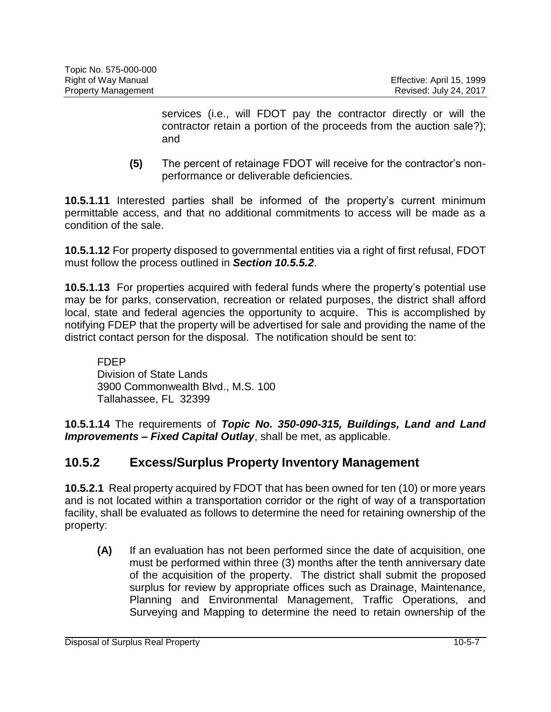services (i.e., will FDOT pay the contractor directly or will the contractor retain a portion of the proceeds from the auction sale?); and

**(5)** The percent of retainage FDOT will receive for the contractor's nonperformance or deliverable deficiencies.

**10.5.1.11** Interested parties shall be informed of the property's current minimum permittable access, and that no additional commitments to access will be made as a condition of the sale.

**10.5.1.12** For property disposed to governmental entities via a right of first refusal, FDOT must follow the process outlined in *Section 10.5.5.2*.

**10.5.1.13** For properties acquired with federal funds where the property's potential use may be for parks, conservation, recreation or related purposes, the district shall afford local, state and federal agencies the opportunity to acquire. This is accomplished by notifying FDEP that the property will be advertised for sale and providing the name of the district contact person for the disposal. The notification should be sent to:

FDEP Division of State Lands 3900 Commonwealth Blvd., M.S. 100 Tallahassee, FL 32399

**10.5.1.14** The requirements of *Topic No. 350-090-315, Buildings, Land and Land Improvements – Fixed Capital Outlay*, shall be met, as applicable.

## **10.5.2 Excess/Surplus Property Inventory Management**

**10.5.2.1** Real property acquired by FDOT that has been owned for ten (10) or more years and is not located within a transportation corridor or the right of way of a transportation facility, shall be evaluated as follows to determine the need for retaining ownership of the property:

**(A)** If an evaluation has not been performed since the date of acquisition, one must be performed within three (3) months after the tenth anniversary date of the acquisition of the property. The district shall submit the proposed surplus for review by appropriate offices such as Drainage, Maintenance, Planning and Environmental Management, Traffic Operations, and Surveying and Mapping to determine the need to retain ownership of the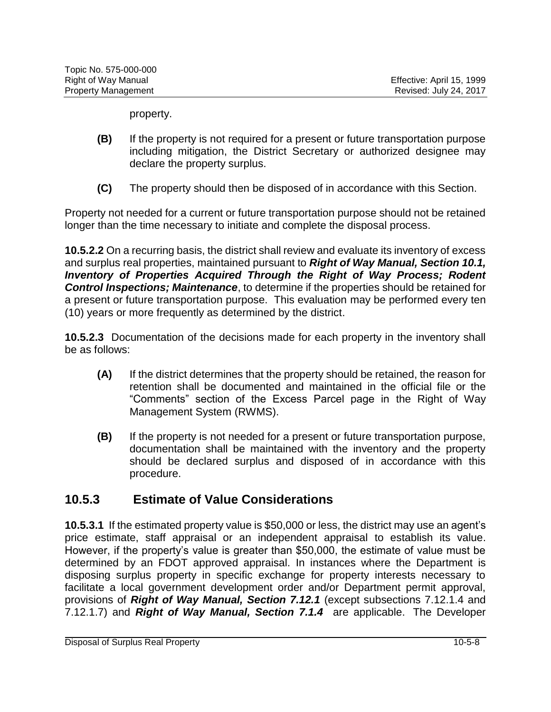property.

- **(B)** If the property is not required for a present or future transportation purpose including mitigation, the District Secretary or authorized designee may declare the property surplus.
- **(C)** The property should then be disposed of in accordance with this Section.

Property not needed for a current or future transportation purpose should not be retained longer than the time necessary to initiate and complete the disposal process.

**10.5.2.2** On a recurring basis, the district shall review and evaluate its inventory of excess and surplus real properties, maintained pursuant to *Right of Way Manual, Section 10.1, Inventory of Properties Acquired Through the Right of Way Process; Rodent Control Inspections; Maintenance*, to determine if the properties should be retained for a present or future transportation purpose. This evaluation may be performed every ten (10) years or more frequently as determined by the district.

**10.5.2.3** Documentation of the decisions made for each property in the inventory shall be as follows:

- **(A)** If the district determines that the property should be retained, the reason for retention shall be documented and maintained in the official file or the "Comments" section of the Excess Parcel page in the Right of Way Management System (RWMS).
- **(B)** If the property is not needed for a present or future transportation purpose, documentation shall be maintained with the inventory and the property should be declared surplus and disposed of in accordance with this procedure.

#### **10.5.3 Estimate of Value Considerations**

**10.5.3.1** If the estimated property value is \$50,000 or less, the district may use an agent's price estimate, staff appraisal or an independent appraisal to establish its value. However, if the property's value is greater than \$50,000, the estimate of value must be determined by an FDOT approved appraisal. In instances where the Department is disposing surplus property in specific exchange for property interests necessary to facilitate a local government development order and/or Department permit approval, provisions of *Right of Way Manual, Section 7.12.1* (except subsections 7.12.1.4 and 7.12.1.7) and *Right of Way Manual, Section 7.1.4* are applicable. The Developer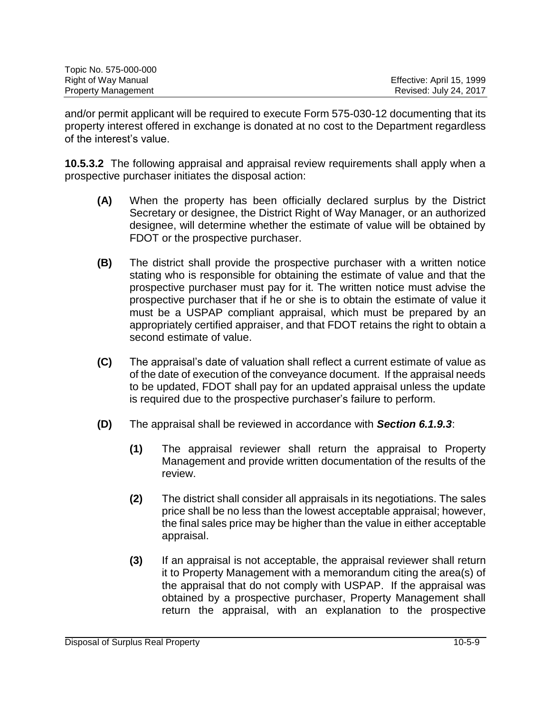| Topic No. 575-000-000      |                           |
|----------------------------|---------------------------|
| Right of Way Manual        | Effective: April 15, 1999 |
| <b>Property Management</b> | Revised: July 24, 2017    |

and/or permit applicant will be required to execute Form 575-030-12 documenting that its property interest offered in exchange is donated at no cost to the Department regardless of the interest's value.

**10.5.3.2** The following appraisal and appraisal review requirements shall apply when a prospective purchaser initiates the disposal action:

- **(A)** When the property has been officially declared surplus by the District Secretary or designee, the District Right of Way Manager, or an authorized designee, will determine whether the estimate of value will be obtained by FDOT or the prospective purchaser.
- **(B)** The district shall provide the prospective purchaser with a written notice stating who is responsible for obtaining the estimate of value and that the prospective purchaser must pay for it. The written notice must advise the prospective purchaser that if he or she is to obtain the estimate of value it must be a USPAP compliant appraisal, which must be prepared by an appropriately certified appraiser, and that FDOT retains the right to obtain a second estimate of value.
- **(C)** The appraisal's date of valuation shall reflect a current estimate of value as of the date of execution of the conveyance document. If the appraisal needs to be updated, FDOT shall pay for an updated appraisal unless the update is required due to the prospective purchaser's failure to perform.
- **(D)** The appraisal shall be reviewed in accordance with *Section 6.1.9.3*:
	- **(1)** The appraisal reviewer shall return the appraisal to Property Management and provide written documentation of the results of the review.
	- **(2)** The district shall consider all appraisals in its negotiations. The sales price shall be no less than the lowest acceptable appraisal; however, the final sales price may be higher than the value in either acceptable appraisal.
	- **(3)** If an appraisal is not acceptable, the appraisal reviewer shall return it to Property Management with a memorandum citing the area(s) of the appraisal that do not comply with USPAP. If the appraisal was obtained by a prospective purchaser, Property Management shall return the appraisal, with an explanation to the prospective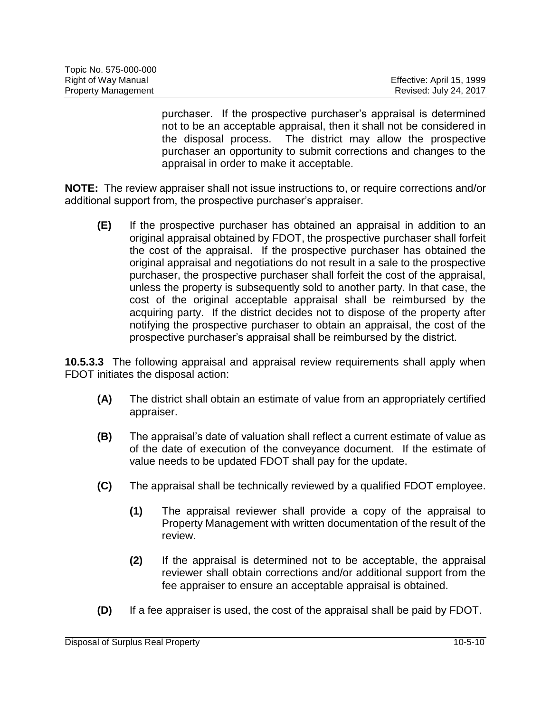| Topic No. 575-000-000      |                           |
|----------------------------|---------------------------|
| Right of Way Manual        | Effective: April 15, 1999 |
| <b>Property Management</b> | Revised: July 24, 2017    |

purchaser. If the prospective purchaser's appraisal is determined not to be an acceptable appraisal, then it shall not be considered in the disposal process. The district may allow the prospective purchaser an opportunity to submit corrections and changes to the appraisal in order to make it acceptable.

**NOTE:** The review appraiser shall not issue instructions to, or require corrections and/or additional support from, the prospective purchaser's appraiser.

**(E)** If the prospective purchaser has obtained an appraisal in addition to an original appraisal obtained by FDOT, the prospective purchaser shall forfeit the cost of the appraisal. If the prospective purchaser has obtained the original appraisal and negotiations do not result in a sale to the prospective purchaser, the prospective purchaser shall forfeit the cost of the appraisal, unless the property is subsequently sold to another party. In that case, the cost of the original acceptable appraisal shall be reimbursed by the acquiring party. If the district decides not to dispose of the property after notifying the prospective purchaser to obtain an appraisal, the cost of the prospective purchaser's appraisal shall be reimbursed by the district.

**10.5.3.3** The following appraisal and appraisal review requirements shall apply when FDOT initiates the disposal action:

- **(A)** The district shall obtain an estimate of value from an appropriately certified appraiser.
- **(B)** The appraisal's date of valuation shall reflect a current estimate of value as of the date of execution of the conveyance document. If the estimate of value needs to be updated FDOT shall pay for the update.
- **(C)** The appraisal shall be technically reviewed by a qualified FDOT employee.
	- **(1)** The appraisal reviewer shall provide a copy of the appraisal to Property Management with written documentation of the result of the review.
	- **(2)** If the appraisal is determined not to be acceptable, the appraisal reviewer shall obtain corrections and/or additional support from the fee appraiser to ensure an acceptable appraisal is obtained.
- **(D)** If a fee appraiser is used, the cost of the appraisal shall be paid by FDOT.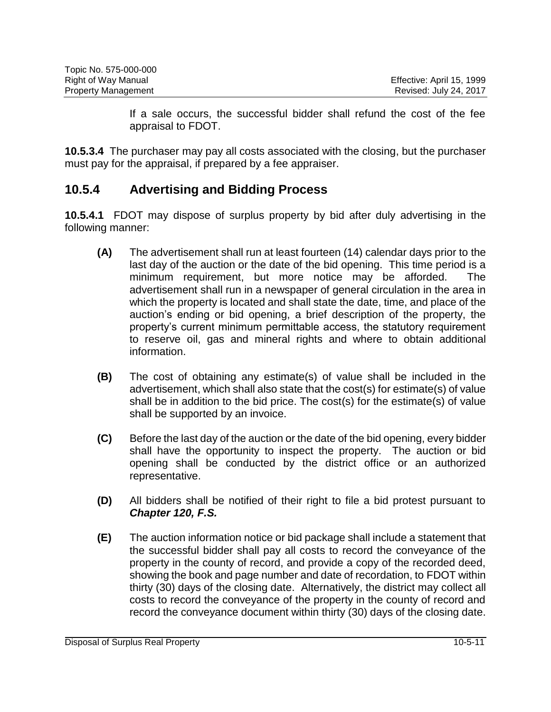| Topic No. 575-000-000      |                           |
|----------------------------|---------------------------|
| Right of Way Manual        | Effective: April 15, 1999 |
| <b>Property Management</b> | Revised: July 24, 2017    |

If a sale occurs, the successful bidder shall refund the cost of the fee appraisal to FDOT.

**10.5.3.4** The purchaser may pay all costs associated with the closing, but the purchaser must pay for the appraisal, if prepared by a fee appraiser.

### **10.5.4 Advertising and Bidding Process**

**10.5.4.1** FDOT may dispose of surplus property by bid after duly advertising in the following manner:

- **(A)** The advertisement shall run at least fourteen (14) calendar days prior to the last day of the auction or the date of the bid opening. This time period is a minimum requirement, but more notice may be afforded. The advertisement shall run in a newspaper of general circulation in the area in which the property is located and shall state the date, time, and place of the auction's ending or bid opening, a brief description of the property, the property's current minimum permittable access, the statutory requirement to reserve oil, gas and mineral rights and where to obtain additional information.
- **(B)** The cost of obtaining any estimate(s) of value shall be included in the advertisement, which shall also state that the cost(s) for estimate(s) of value shall be in addition to the bid price. The cost(s) for the estimate(s) of value shall be supported by an invoice.
- **(C)** Before the last day of the auction or the date of the bid opening, every bidder shall have the opportunity to inspect the property. The auction or bid opening shall be conducted by the district office or an authorized representative.
- **(D)** All bidders shall be notified of their right to file a bid protest pursuant to *Chapter 120, F.S.*
- **(E)** The auction information notice or bid package shall include a statement that the successful bidder shall pay all costs to record the conveyance of the property in the county of record, and provide a copy of the recorded deed, showing the book and page number and date of recordation, to FDOT within thirty (30) days of the closing date. Alternatively, the district may collect all costs to record the conveyance of the property in the county of record and record the conveyance document within thirty (30) days of the closing date.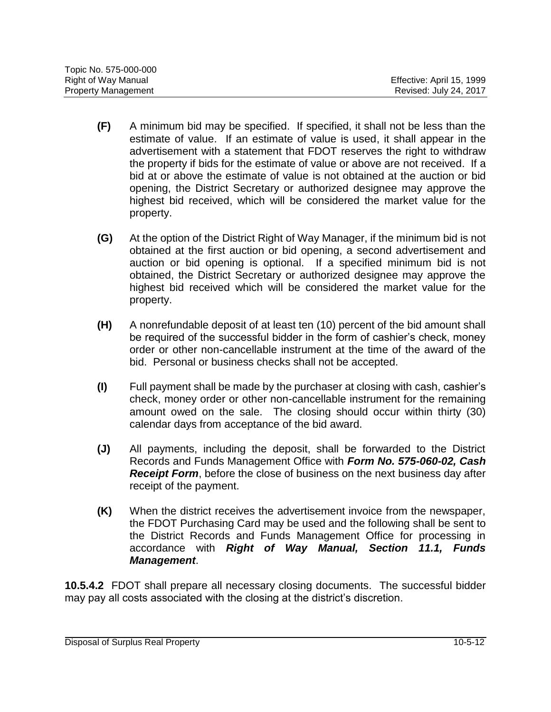| Topic No. 575-000-000      |                           |
|----------------------------|---------------------------|
| Right of Way Manual        | Effective: April 15, 1999 |
| <b>Property Management</b> | Revised: July 24, 2017    |

- **(F)** A minimum bid may be specified. If specified, it shall not be less than the estimate of value. If an estimate of value is used, it shall appear in the advertisement with a statement that FDOT reserves the right to withdraw the property if bids for the estimate of value or above are not received. If a bid at or above the estimate of value is not obtained at the auction or bid opening, the District Secretary or authorized designee may approve the highest bid received, which will be considered the market value for the property.
- **(G)** At the option of the District Right of Way Manager, if the minimum bid is not obtained at the first auction or bid opening, a second advertisement and auction or bid opening is optional. If a specified minimum bid is not obtained, the District Secretary or authorized designee may approve the highest bid received which will be considered the market value for the property.
- **(H)** A nonrefundable deposit of at least ten (10) percent of the bid amount shall be required of the successful bidder in the form of cashier's check, money order or other non-cancellable instrument at the time of the award of the bid. Personal or business checks shall not be accepted.
- **(I)** Full payment shall be made by the purchaser at closing with cash, cashier's check, money order or other non-cancellable instrument for the remaining amount owed on the sale. The closing should occur within thirty (30) calendar days from acceptance of the bid award.
- **(J)** All payments, including the deposit, shall be forwarded to the District Records and Funds Management Office with *Form No. 575-060-02, Cash Receipt Form*, before the close of business on the next business day after receipt of the payment.
- **(K)** When the district receives the advertisement invoice from the newspaper, the FDOT Purchasing Card may be used and the following shall be sent to the District Records and Funds Management Office for processing in accordance with *Right of Way Manual, Section 11.1, Funds Management*.

**10.5.4.2** FDOT shall prepare all necessary closing documents. The successful bidder may pay all costs associated with the closing at the district's discretion.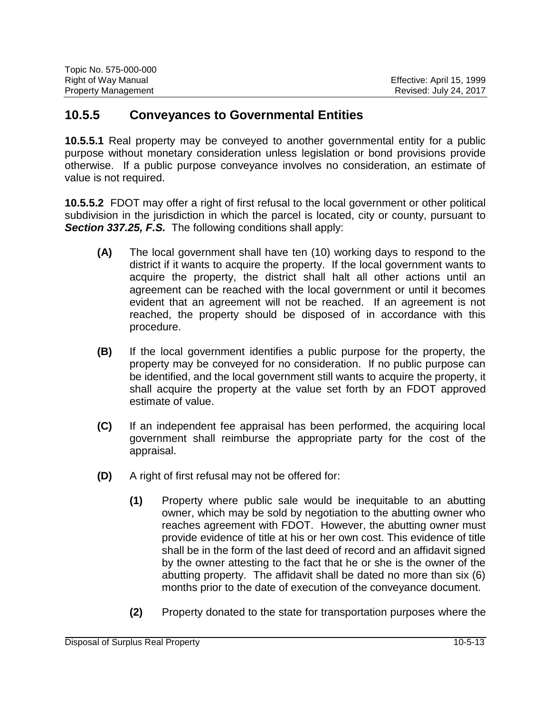| Topic No. 575-000-000      |                           |
|----------------------------|---------------------------|
| Right of Way Manual        | Effective: April 15, 1999 |
| <b>Property Management</b> | Revised: July 24, 2017    |

#### **10.5.5 Conveyances to Governmental Entities**

**10.5.5.1** Real property may be conveyed to another governmental entity for a public purpose without monetary consideration unless legislation or bond provisions provide otherwise. If a public purpose conveyance involves no consideration, an estimate of value is not required.

**10.5.5.2** FDOT may offer a right of first refusal to the local government or other political subdivision in the jurisdiction in which the parcel is located, city or county, pursuant to **Section 337.25, F.S.** The following conditions shall apply:

- **(A)** The local government shall have ten (10) working days to respond to the district if it wants to acquire the property. If the local government wants to acquire the property, the district shall halt all other actions until an agreement can be reached with the local government or until it becomes evident that an agreement will not be reached. If an agreement is not reached, the property should be disposed of in accordance with this procedure.
- **(B)** If the local government identifies a public purpose for the property, the property may be conveyed for no consideration. If no public purpose can be identified, and the local government still wants to acquire the property, it shall acquire the property at the value set forth by an FDOT approved estimate of value.
- **(C)** If an independent fee appraisal has been performed, the acquiring local government shall reimburse the appropriate party for the cost of the appraisal.
- **(D)** A right of first refusal may not be offered for:
	- **(1)** Property where public sale would be inequitable to an abutting owner, which may be sold by negotiation to the abutting owner who reaches agreement with FDOT. However, the abutting owner must provide evidence of title at his or her own cost. This evidence of title shall be in the form of the last deed of record and an affidavit signed by the owner attesting to the fact that he or she is the owner of the abutting property. The affidavit shall be dated no more than six (6) months prior to the date of execution of the conveyance document.
	- **(2)** Property donated to the state for transportation purposes where the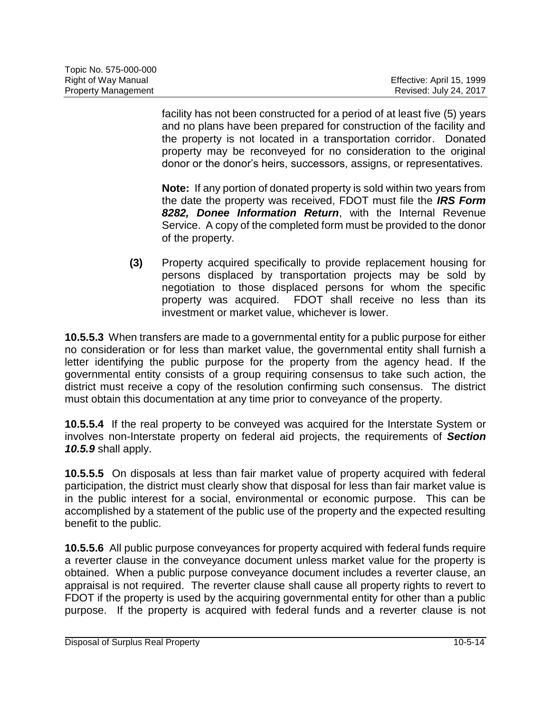| Topic No. 575-000-000      |                           |
|----------------------------|---------------------------|
| Right of Way Manual        | Effective: April 15, 1999 |
| <b>Property Management</b> | Revised: July 24, 2017    |

facility has not been constructed for a period of at least five (5) years and no plans have been prepared for construction of the facility and the property is not located in a transportation corridor. Donated property may be reconveyed for no consideration to the original donor or the donor's heirs, successors, assigns, or representatives.

**Note:** If any portion of donated property is sold within two years from the date the property was received, FDOT must file the *IRS Form 8282, Donee Information Return*, with the Internal Revenue Service. A copy of the completed form must be provided to the donor of the property.

**(3)** Property acquired specifically to provide replacement housing for persons displaced by transportation projects may be sold by negotiation to those displaced persons for whom the specific property was acquired. FDOT shall receive no less than its investment or market value, whichever is lower.

**10.5.5.3** When transfers are made to a governmental entity for a public purpose for either no consideration or for less than market value, the governmental entity shall furnish a letter identifying the public purpose for the property from the agency head. If the governmental entity consists of a group requiring consensus to take such action, the district must receive a copy of the resolution confirming such consensus. The district must obtain this documentation at any time prior to conveyance of the property.

**10.5.5.4** If the real property to be conveyed was acquired for the Interstate System or involves non-Interstate property on federal aid projects, the requirements of *Section 10.5.9* shall apply.

**10.5.5.5** On disposals at less than fair market value of property acquired with federal participation, the district must clearly show that disposal for less than fair market value is in the public interest for a social, environmental or economic purpose. This can be accomplished by a statement of the public use of the property and the expected resulting benefit to the public.

**10.5.5.6** All public purpose conveyances for property acquired with federal funds require a reverter clause in the conveyance document unless market value for the property is obtained. When a public purpose conveyance document includes a reverter clause, an appraisal is not required. The reverter clause shall cause all property rights to revert to FDOT if the property is used by the acquiring governmental entity for other than a public purpose. If the property is acquired with federal funds and a reverter clause is not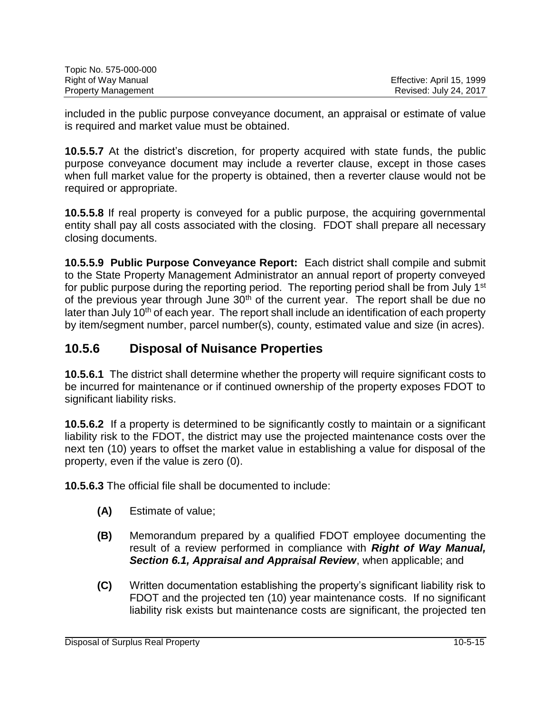| Topic No. 575-000-000      |                           |
|----------------------------|---------------------------|
| Right of Way Manual        | Effective: April 15, 1999 |
| <b>Property Management</b> | Revised: July 24, 2017    |

included in the public purpose conveyance document, an appraisal or estimate of value is required and market value must be obtained.

**10.5.5.7** At the district's discretion, for property acquired with state funds, the public purpose conveyance document may include a reverter clause, except in those cases when full market value for the property is obtained, then a reverter clause would not be required or appropriate.

**10.5.5.8** If real property is conveyed for a public purpose, the acquiring governmental entity shall pay all costs associated with the closing. FDOT shall prepare all necessary closing documents.

**10.5.5.9 Public Purpose Conveyance Report:** Each district shall compile and submit to the State Property Management Administrator an annual report of property conveyed for public purpose during the reporting period. The reporting period shall be from July 1<sup>st</sup> of the previous year through June  $30<sup>th</sup>$  of the current year. The report shall be due no later than July 10<sup>th</sup> of each year. The report shall include an identification of each property by item/segment number, parcel number(s), county, estimated value and size (in acres).

## **10.5.6 Disposal of Nuisance Properties**

**10.5.6.1** The district shall determine whether the property will require significant costs to be incurred for maintenance or if continued ownership of the property exposes FDOT to significant liability risks.

**10.5.6.2** If a property is determined to be significantly costly to maintain or a significant liability risk to the FDOT, the district may use the projected maintenance costs over the next ten (10) years to offset the market value in establishing a value for disposal of the property, even if the value is zero (0).

**10.5.6.3** The official file shall be documented to include:

- **(A)** Estimate of value;
- **(B)** Memorandum prepared by a qualified FDOT employee documenting the result of a review performed in compliance with *Right of Way Manual, Section 6.1, Appraisal and Appraisal Review*, when applicable; and
- **(C)** Written documentation establishing the property's significant liability risk to FDOT and the projected ten (10) year maintenance costs. If no significant liability risk exists but maintenance costs are significant, the projected ten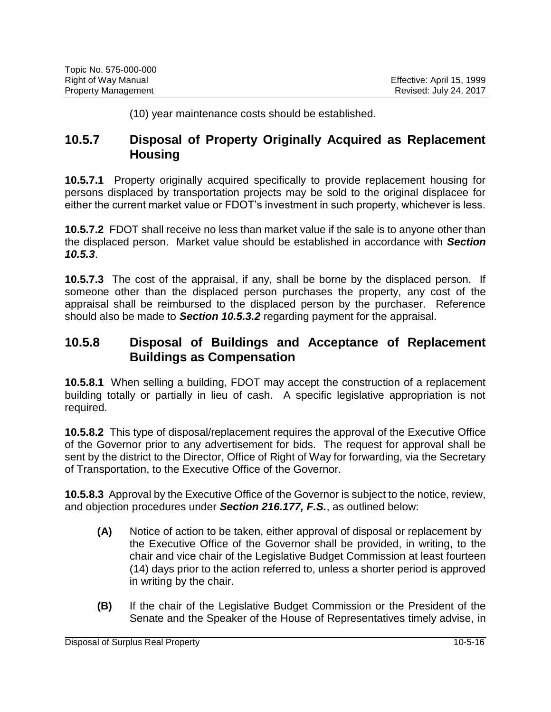(10) year maintenance costs should be established.

#### **10.5.7 Disposal of Property Originally Acquired as Replacement Housing**

**10.5.7.1** Property originally acquired specifically to provide replacement housing for persons displaced by transportation projects may be sold to the original displacee for either the current market value or FDOT's investment in such property, whichever is less.

**10.5.7.2** FDOT shall receive no less than market value if the sale is to anyone other than the displaced person. Market value should be established in accordance with *Section 10.5.3*.

**10.5.7.3** The cost of the appraisal, if any, shall be borne by the displaced person. If someone other than the displaced person purchases the property, any cost of the appraisal shall be reimbursed to the displaced person by the purchaser. Reference should also be made to *Section 10.5.3.2* regarding payment for the appraisal.

#### **10.5.8 Disposal of Buildings and Acceptance of Replacement Buildings as Compensation**

**10.5.8.1** When selling a building, FDOT may accept the construction of a replacement building totally or partially in lieu of cash. A specific legislative appropriation is not required.

**10.5.8.2** This type of disposal/replacement requires the approval of the Executive Office of the Governor prior to any advertisement for bids. The request for approval shall be sent by the district to the Director, Office of Right of Way for forwarding, via the Secretary of Transportation, to the Executive Office of the Governor.

**10.5.8.3** Approval by the Executive Office of the Governor is subject to the notice, review, and objection procedures under *Section 216.177, F.S.*, as outlined below:

- **(A)** Notice of action to be taken, either approval of disposal or replacement by the Executive Office of the Governor shall be provided, in writing, to the chair and vice chair of the Legislative Budget Commission at least fourteen (14) days prior to the action referred to, unless a shorter period is approved in writing by the chair.
- **(B)** If the chair of the Legislative Budget Commission or the President of the Senate and the Speaker of the House of Representatives timely advise, in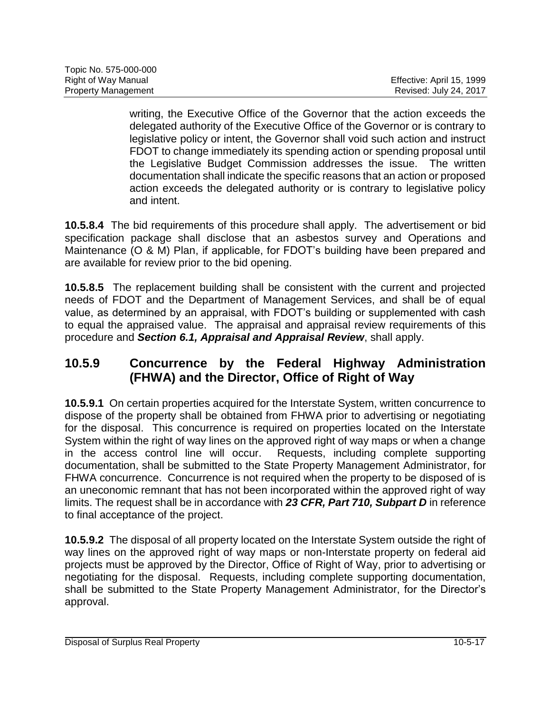| Topic No. 575-000-000      |                           |
|----------------------------|---------------------------|
| Right of Way Manual        | Effective: April 15, 1999 |
| <b>Property Management</b> | Revised: July 24, 2017    |

writing, the Executive Office of the Governor that the action exceeds the delegated authority of the Executive Office of the Governor or is contrary to legislative policy or intent, the Governor shall void such action and instruct FDOT to change immediately its spending action or spending proposal until the Legislative Budget Commission addresses the issue. The written documentation shall indicate the specific reasons that an action or proposed action exceeds the delegated authority or is contrary to legislative policy and intent.

**10.5.8.4** The bid requirements of this procedure shall apply. The advertisement or bid specification package shall disclose that an asbestos survey and Operations and Maintenance (O & M) Plan, if applicable, for FDOT's building have been prepared and are available for review prior to the bid opening.

**10.5.8.5** The replacement building shall be consistent with the current and projected needs of FDOT and the Department of Management Services, and shall be of equal value, as determined by an appraisal, with FDOT's building or supplemented with cash to equal the appraised value. The appraisal and appraisal review requirements of this procedure and *Section 6.1, Appraisal and Appraisal Review*, shall apply.

### **10.5.9 Concurrence by the Federal Highway Administration (FHWA) and the Director, Office of Right of Way**

**10.5.9.1** On certain properties acquired for the Interstate System, written concurrence to dispose of the property shall be obtained from FHWA prior to advertising or negotiating for the disposal. This concurrence is required on properties located on the Interstate System within the right of way lines on the approved right of way maps or when a change in the access control line will occur. Requests, including complete supporting documentation, shall be submitted to the State Property Management Administrator, for FHWA concurrence. Concurrence is not required when the property to be disposed of is an uneconomic remnant that has not been incorporated within the approved right of way limits. The request shall be in accordance with *23 CFR, Part 710, Subpart D* in reference to final acceptance of the project.

**10.5.9.2** The disposal of all property located on the Interstate System outside the right of way lines on the approved right of way maps or non-Interstate property on federal aid projects must be approved by the Director, Office of Right of Way, prior to advertising or negotiating for the disposal. Requests, including complete supporting documentation, shall be submitted to the State Property Management Administrator, for the Director's approval.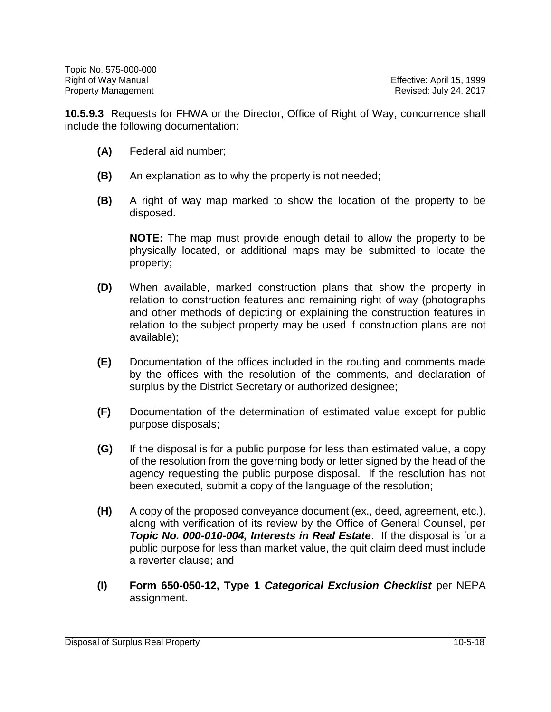| Topic No. 575-000-000      |                           |
|----------------------------|---------------------------|
| Right of Way Manual        | Effective: April 15, 1999 |
| <b>Property Management</b> | Revised: July 24, 2017    |

**10.5.9.3** Requests for FHWA or the Director, Office of Right of Way, concurrence shall include the following documentation:

- **(A)** Federal aid number;
- **(B)** An explanation as to why the property is not needed;
- **(B)** A right of way map marked to show the location of the property to be disposed.

**NOTE:** The map must provide enough detail to allow the property to be physically located, or additional maps may be submitted to locate the property;

- **(D)** When available, marked construction plans that show the property in relation to construction features and remaining right of way (photographs and other methods of depicting or explaining the construction features in relation to the subject property may be used if construction plans are not available);
- **(E)** Documentation of the offices included in the routing and comments made by the offices with the resolution of the comments, and declaration of surplus by the District Secretary or authorized designee;
- **(F)** Documentation of the determination of estimated value except for public purpose disposals;
- **(G)** If the disposal is for a public purpose for less than estimated value, a copy of the resolution from the governing body or letter signed by the head of the agency requesting the public purpose disposal. If the resolution has not been executed, submit a copy of the language of the resolution;
- **(H)** A copy of the proposed conveyance document (ex., deed, agreement, etc.), along with verification of its review by the Office of General Counsel, per *Topic No. 000-010-004, Interests in Real Estate*. If the disposal is for a public purpose for less than market value, the quit claim deed must include a reverter clause; and
- **(I) Form 650-050-12, Type 1** *Categorical Exclusion Checklist* per NEPA assignment.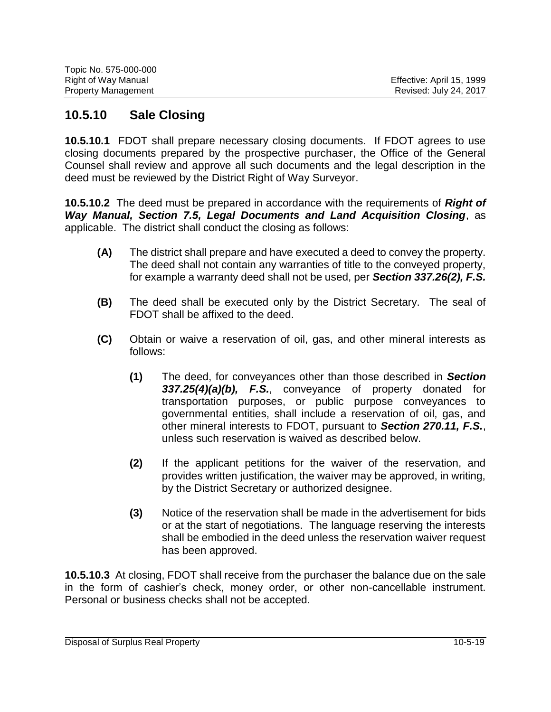| Topic No. 575-000-000      |                           |
|----------------------------|---------------------------|
| Right of Way Manual        | Effective: April 15, 1999 |
| <b>Property Management</b> | Revised: July 24, 2017    |

#### **10.5.10 Sale Closing**

**10.5.10.1** FDOT shall prepare necessary closing documents. If FDOT agrees to use closing documents prepared by the prospective purchaser, the Office of the General Counsel shall review and approve all such documents and the legal description in the deed must be reviewed by the District Right of Way Surveyor.

**10.5.10.2** The deed must be prepared in accordance with the requirements of *Right of Way Manual, Section 7.5, Legal Documents and Land Acquisition Closing*, as applicable. The district shall conduct the closing as follows:

- **(A)** The district shall prepare and have executed a deed to convey the property. The deed shall not contain any warranties of title to the conveyed property, for example a warranty deed shall not be used, per *Section 337.26(2), F.S.*
- **(B)** The deed shall be executed only by the District Secretary. The seal of FDOT shall be affixed to the deed.
- **(C)** Obtain or waive a reservation of oil, gas, and other mineral interests as follows:
	- **(1)** The deed, for conveyances other than those described in *Section 337.25(4)(a)(b), F.S.*, conveyance of property donated for transportation purposes, or public purpose conveyances to governmental entities, shall include a reservation of oil, gas, and other mineral interests to FDOT, pursuant to *Section 270.11, F.S.*, unless such reservation is waived as described below.
	- **(2)** If the applicant petitions for the waiver of the reservation, and provides written justification, the waiver may be approved, in writing, by the District Secretary or authorized designee.
	- **(3)** Notice of the reservation shall be made in the advertisement for bids or at the start of negotiations. The language reserving the interests shall be embodied in the deed unless the reservation waiver request has been approved.

**10.5.10.3** At closing, FDOT shall receive from the purchaser the balance due on the sale in the form of cashier's check, money order, or other non-cancellable instrument. Personal or business checks shall not be accepted.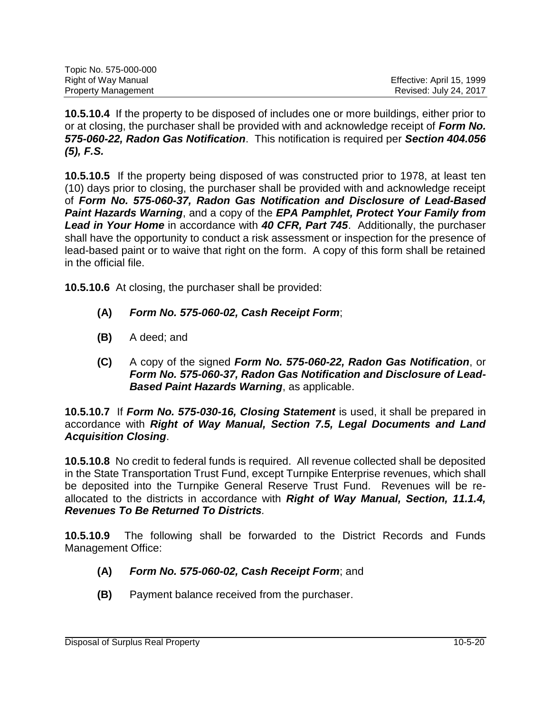| Topic No. 575-000-000      |                           |
|----------------------------|---------------------------|
| Right of Way Manual        | Effective: April 15, 1999 |
| <b>Property Management</b> | Revised: July 24, 2017    |

**10.5.10.4** If the property to be disposed of includes one or more buildings, either prior to or at closing, the purchaser shall be provided with and acknowledge receipt of *Form No. 575-060-22, Radon Gas Notification*. This notification is required per *Section 404.056 (5), F.S.*

**10.5.10.5** If the property being disposed of was constructed prior to 1978, at least ten (10) days prior to closing, the purchaser shall be provided with and acknowledge receipt of *Form No. 575-060-37, Radon Gas Notification and Disclosure of Lead-Based Paint Hazards Warning*, and a copy of the *EPA Pamphlet, Protect Your Family from Lead in Your Home* in accordance with *40 CFR, Part 745*. Additionally, the purchaser shall have the opportunity to conduct a risk assessment or inspection for the presence of lead-based paint or to waive that right on the form. A copy of this form shall be retained in the official file.

**10.5.10.6** At closing, the purchaser shall be provided:

- **(A)** *Form No. 575-060-02, Cash Receipt Form*;
- **(B)** A deed; and
- **(C)** A copy of the signed *Form No. 575-060-22, Radon Gas Notification*, or *Form No. 575-060-37, Radon Gas Notification and Disclosure of Lead-Based Paint Hazards Warning*, as applicable.

**10.5.10.7** If *Form No. 575-030-16, Closing Statement* is used, it shall be prepared in accordance with *Right of Way Manual, Section 7.5, Legal Documents and Land Acquisition Closing*.

**10.5.10.8** No credit to federal funds is required. All revenue collected shall be deposited in the State Transportation Trust Fund, except Turnpike Enterprise revenues, which shall be deposited into the Turnpike General Reserve Trust Fund. Revenues will be reallocated to the districts in accordance with *Right of Way Manual, Section, 11.1.4, Revenues To Be Returned To Districts.*

**10.5.10.9** The following shall be forwarded to the District Records and Funds Management Office:

- **(A)** *Form No. 575-060-02, Cash Receipt Form*; and
- **(B)** Payment balance received from the purchaser.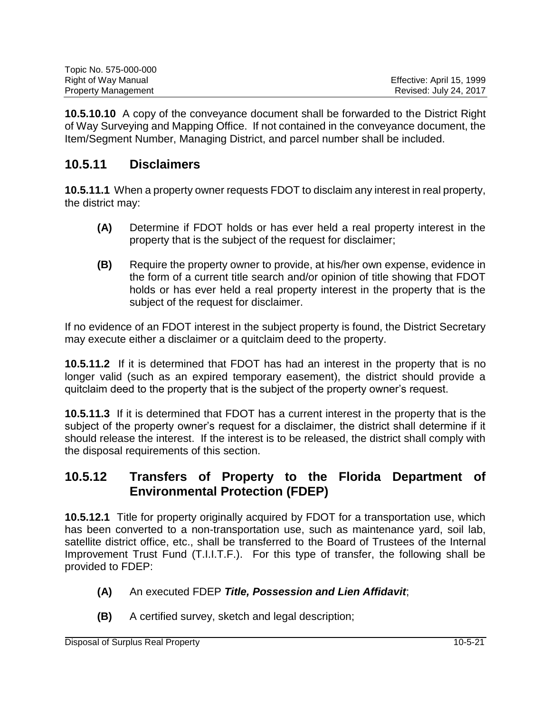| Topic No. 575-000-000      |                           |
|----------------------------|---------------------------|
| Right of Way Manual        | Effective: April 15, 1999 |
| <b>Property Management</b> | Revised: July 24, 2017    |

**10.5.10.10** A copy of the conveyance document shall be forwarded to the District Right of Way Surveying and Mapping Office. If not contained in the conveyance document, the Item/Segment Number, Managing District, and parcel number shall be included.

### **10.5.11 Disclaimers**

**10.5.11.1** When a property owner requests FDOT to disclaim any interest in real property, the district may:

- **(A)** Determine if FDOT holds or has ever held a real property interest in the property that is the subject of the request for disclaimer;
- **(B)** Require the property owner to provide, at his/her own expense, evidence in the form of a current title search and/or opinion of title showing that FDOT holds or has ever held a real property interest in the property that is the subject of the request for disclaimer.

If no evidence of an FDOT interest in the subject property is found, the District Secretary may execute either a disclaimer or a quitclaim deed to the property.

**10.5.11.2** If it is determined that FDOT has had an interest in the property that is no longer valid (such as an expired temporary easement), the district should provide a quitclaim deed to the property that is the subject of the property owner's request.

**10.5.11.3** If it is determined that FDOT has a current interest in the property that is the subject of the property owner's request for a disclaimer, the district shall determine if it should release the interest. If the interest is to be released, the district shall comply with the disposal requirements of this section.

#### **10.5.12 Transfers of Property to the Florida Department of Environmental Protection (FDEP)**

**10.5.12.1** Title for property originally acquired by FDOT for a transportation use, which has been converted to a non-transportation use, such as maintenance yard, soil lab, satellite district office, etc., shall be transferred to the Board of Trustees of the Internal Improvement Trust Fund (T.I.I.T.F.). For this type of transfer, the following shall be provided to FDEP:

- **(A)** An executed FDEP *Title, Possession and Lien Affidavit*;
- **(B)** A certified survey, sketch and legal description;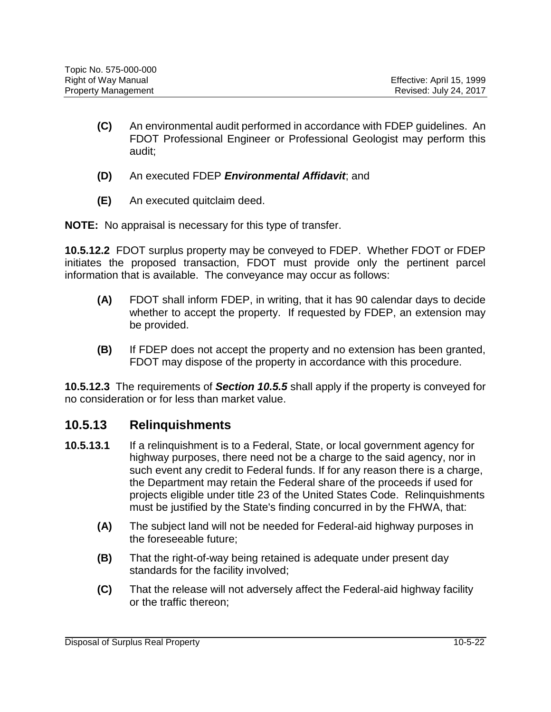- **(C)** An environmental audit performed in accordance with FDEP guidelines. An FDOT Professional Engineer or Professional Geologist may perform this audit;
- **(D)** An executed FDEP *Environmental Affidavit*; and
- **(E)** An executed quitclaim deed.

**NOTE:** No appraisal is necessary for this type of transfer.

**10.5.12.2** FDOT surplus property may be conveyed to FDEP. Whether FDOT or FDEP initiates the proposed transaction, FDOT must provide only the pertinent parcel information that is available. The conveyance may occur as follows:

- **(A)** FDOT shall inform FDEP, in writing, that it has 90 calendar days to decide whether to accept the property. If requested by FDEP, an extension may be provided.
- **(B)** If FDEP does not accept the property and no extension has been granted, FDOT may dispose of the property in accordance with this procedure.

**10.5.12.3** The requirements of *Section 10.5.5* shall apply if the property is conveyed for no consideration or for less than market value.

#### **10.5.13 Relinquishments**

- **10.5.13.1** If a relinquishment is to a Federal, State, or local government agency for highway purposes, there need not be a charge to the said agency, nor in such event any credit to Federal funds. If for any reason there is a charge, the Department may retain the Federal share of the proceeds if used for projects eligible under title 23 of the United States Code. Relinquishments must be justified by the State's finding concurred in by the FHWA, that:
	- **(A)** The subject land will not be needed for Federal-aid highway purposes in the foreseeable future;
	- **(B)** That the right-of-way being retained is adequate under present day standards for the facility involved;
	- **(C)** That the release will not adversely affect the Federal-aid highway facility or the traffic thereon;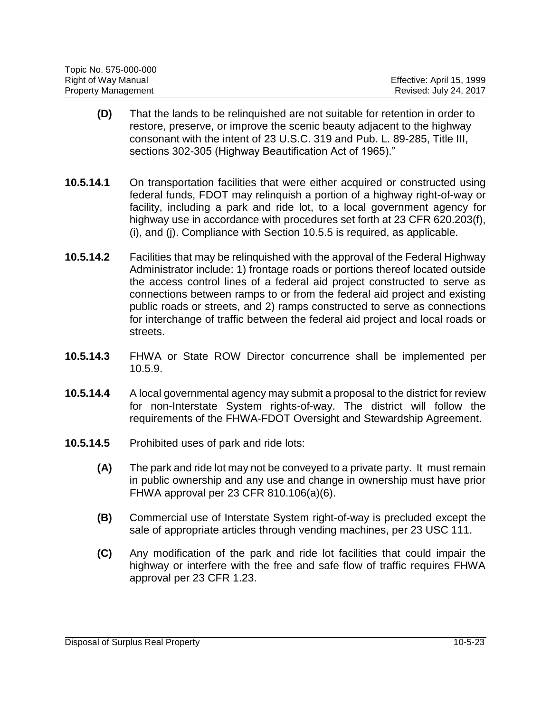| Topic No. 575-000-000      |                           |
|----------------------------|---------------------------|
| Right of Way Manual        | Effective: April 15, 1999 |
| <b>Property Management</b> | Revised: July 24, 2017    |

- **(D)** That the lands to be relinquished are not suitable for retention in order to restore, preserve, or improve the scenic beauty adjacent to the highway consonant with the intent of [23 U.S.C. 319](https://www.law.cornell.edu/uscode/text/23/319) and [Pub. L. 89-285,](https://www.congress.gov/public-laws/) Title III, sections 302-305 (Highway Beautification Act of 1965)."
- **10.5.14.1** On transportation facilities that were either acquired or constructed using federal funds, FDOT may relinquish a portion of a highway right-of-way or facility, including a park and ride lot, to a local government agency for highway use in accordance with procedures set forth at 23 CFR 620.203(f), (i), and (j). Compliance with Section 10.5.5 is required, as applicable.
- **10.5.14.2** Facilities that may be relinquished with the approval of the Federal Highway Administrator include: 1) frontage roads or portions thereof located outside the access control lines of a federal aid project constructed to serve as connections between ramps to or from the federal aid project and existing public roads or streets, and 2) ramps constructed to serve as connections for interchange of traffic between the federal aid project and local roads or streets.
- **10.5.14.3** FHWA or State ROW Director concurrence shall be implemented per 10.5.9.
- **10.5.14.4** A local governmental agency may submit a proposal to the district for review for non-Interstate System rights-of-way. The district will follow the requirements of the FHWA-FDOT Oversight and Stewardship Agreement.
- **10.5.14.5** Prohibited uses of park and ride lots:
	- **(A)** The park and ride lot may not be conveyed to a private party. It must remain in public ownership and any use and change in ownership must have prior FHWA approval per 23 CFR 810.106(a)(6).
	- **(B)** Commercial use of Interstate System right-of-way is precluded except the sale of appropriate articles through vending machines, per 23 USC 111.
	- **(C)** Any modification of the park and ride lot facilities that could impair the highway or interfere with the free and safe flow of traffic requires FHWA approval per 23 CFR 1.23.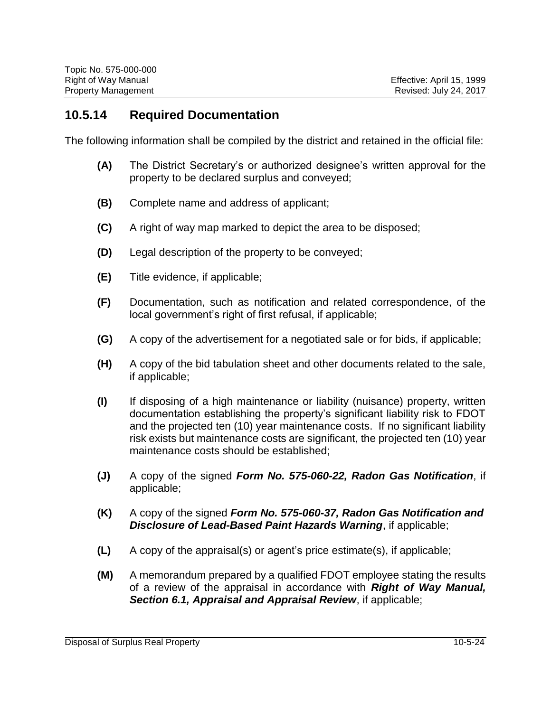#### **10.5.14 Required Documentation**

The following information shall be compiled by the district and retained in the official file:

- **(A)** The District Secretary's or authorized designee's written approval for the property to be declared surplus and conveyed;
- **(B)** Complete name and address of applicant;
- **(C)** A right of way map marked to depict the area to be disposed;
- **(D)** Legal description of the property to be conveyed;
- **(E)** Title evidence, if applicable;
- **(F)** Documentation, such as notification and related correspondence, of the local government's right of first refusal, if applicable;
- **(G)** A copy of the advertisement for a negotiated sale or for bids, if applicable;
- **(H)** A copy of the bid tabulation sheet and other documents related to the sale, if applicable;
- **(I)** If disposing of a high maintenance or liability (nuisance) property, written documentation establishing the property's significant liability risk to FDOT and the projected ten (10) year maintenance costs. If no significant liability risk exists but maintenance costs are significant, the projected ten (10) year maintenance costs should be established;
- **(J)** A copy of the signed *Form No. 575-060-22, Radon Gas Notification*, if applicable;
- **(K)** A copy of the signed *Form No. 575-060-37, Radon Gas Notification and Disclosure of Lead-Based Paint Hazards Warning*, if applicable;
- **(L)** A copy of the appraisal(s) or agent's price estimate(s), if applicable;
- **(M)** A memorandum prepared by a qualified FDOT employee stating the results of a review of the appraisal in accordance with *Right of Way Manual, Section 6.1, Appraisal and Appraisal Review*, if applicable;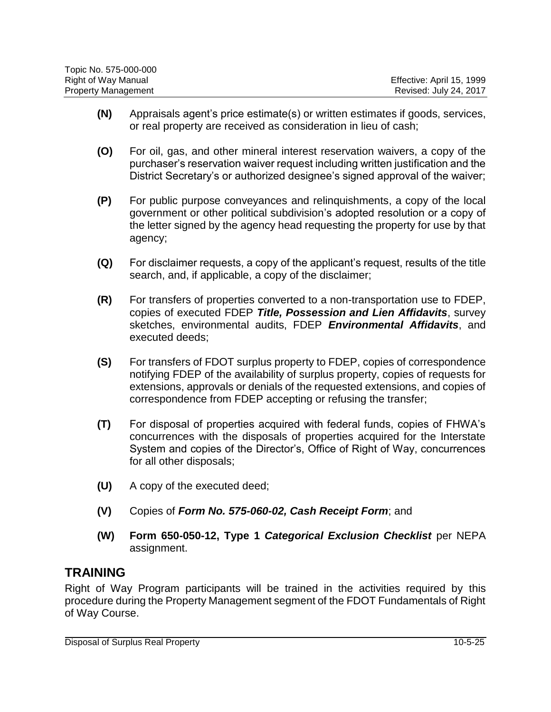| Topic No. 575-000-000      |                           |
|----------------------------|---------------------------|
| Right of Way Manual        | Effective: April 15, 1999 |
| <b>Property Management</b> | Revised: July 24, 2017    |

- **(N)** Appraisals agent's price estimate(s) or written estimates if goods, services, or real property are received as consideration in lieu of cash;
- **(O)** For oil, gas, and other mineral interest reservation waivers, a copy of the purchaser's reservation waiver request including written justification and the District Secretary's or authorized designee's signed approval of the waiver;
- **(P)** For public purpose conveyances and relinquishments, a copy of the local government or other political subdivision's adopted resolution or a copy of the letter signed by the agency head requesting the property for use by that agency;
- **(Q)** For disclaimer requests, a copy of the applicant's request, results of the title search, and, if applicable, a copy of the disclaimer;
- **(R)** For transfers of properties converted to a non-transportation use to FDEP, copies of executed FDEP *Title, Possession and Lien Affidavits*, survey sketches, environmental audits, FDEP *Environmental Affidavits*, and executed deeds;
- **(S)** For transfers of FDOT surplus property to FDEP, copies of correspondence notifying FDEP of the availability of surplus property, copies of requests for extensions, approvals or denials of the requested extensions, and copies of correspondence from FDEP accepting or refusing the transfer;
- **(T)** For disposal of properties acquired with federal funds, copies of FHWA's concurrences with the disposals of properties acquired for the Interstate System and copies of the Director's, Office of Right of Way, concurrences for all other disposals;
- **(U)** A copy of the executed deed;
- **(V)** Copies of *Form No. 575-060-02, Cash Receipt Form*; and
- **(W) Form 650-050-12, Type 1** *Categorical Exclusion Checklist* per NEPA assignment.

#### **TRAINING**

Right of Way Program participants will be trained in the activities required by this procedure during the Property Management segment of the FDOT Fundamentals of Right of Way Course.